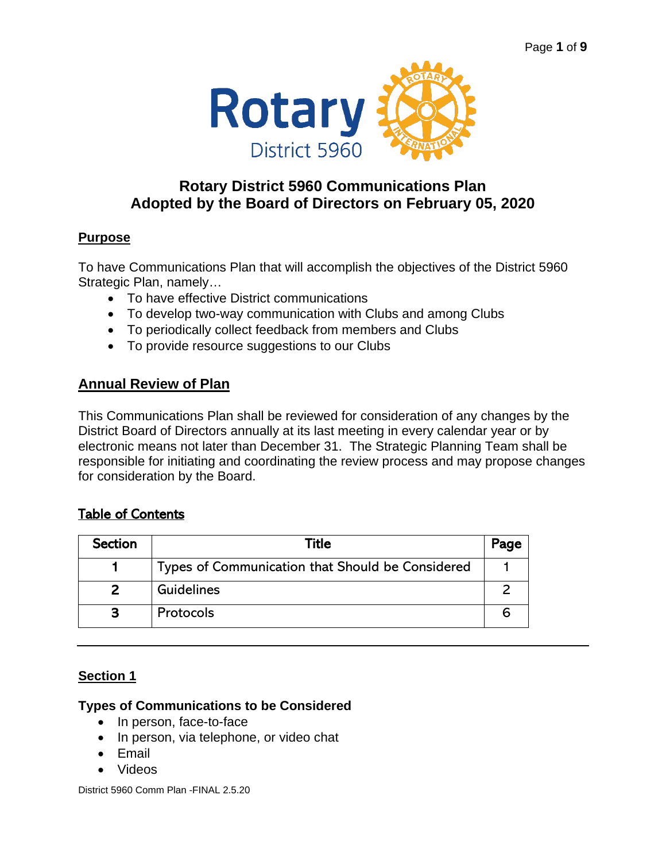

# **Rotary District 5960 Communications Plan Adopted by the Board of Directors on February 05, 2020**

## **Purpose**

To have Communications Plan that will accomplish the objectives of the District 5960 Strategic Plan, namely…

- To have effective District communications
- To develop two-way communication with Clubs and among Clubs
- To periodically collect feedback from members and Clubs
- To provide resource suggestions to our Clubs

## **Annual Review of Plan**

This Communications Plan shall be reviewed for consideration of any changes by the District Board of Directors annually at its last meeting in every calendar year or by electronic means not later than December 31. The Strategic Planning Team shall be responsible for initiating and coordinating the review process and may propose changes for consideration by the Board.

## Table of Contents

| <b>Section</b> | Title                                            | Page |
|----------------|--------------------------------------------------|------|
|                | Types of Communication that Should be Considered |      |
|                | Guidelines                                       |      |
|                | Protocols                                        |      |

## **Section 1**

#### **Types of Communications to be Considered**

- In person, face-to-face
- In person, via telephone, or video chat
- Email
- Videos

District 5960 Comm Plan -FINAL 2.5.20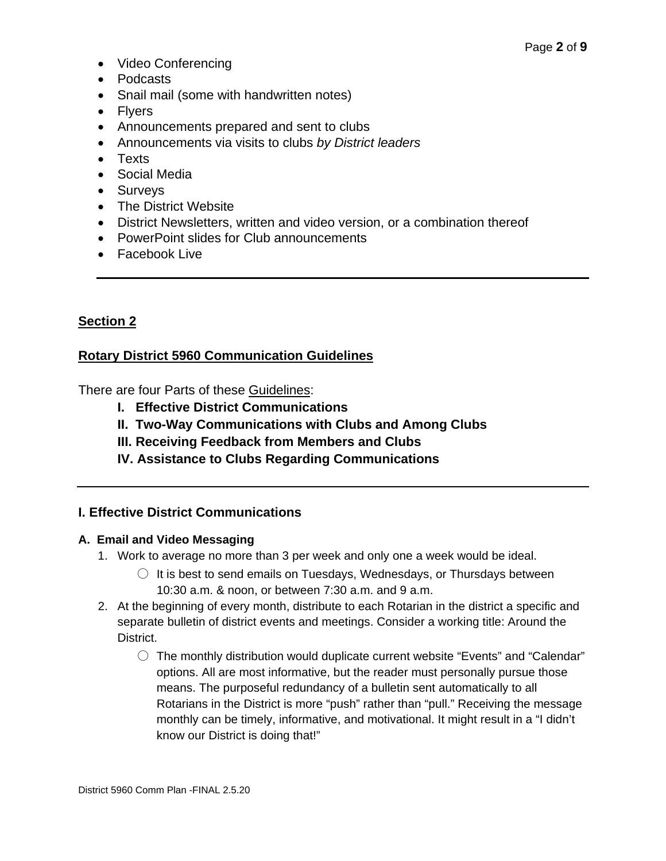- Video Conferencing
- Podcasts
- Snail mail (some with handwritten notes)
- Flyers
- Announcements prepared and sent to clubs
- Announcements via visits to clubs *by District leaders*
- Texts
- Social Media
- Surveys
- The District Website
- District Newsletters, written and video version, or a combination thereof
- PowerPoint slides for Club announcements
- Facebook Live

## **Section 2**

#### **Rotary District 5960 Communication Guidelines**

There are four Parts of these Guidelines:

- **I. Effective District Communications**
- **II. Two-Way Communications with Clubs and Among Clubs**
- **III. Receiving Feedback from Members and Clubs**
- **IV. Assistance to Clubs Regarding Communications**

#### **I. Effective District Communications**

#### **A. Email and Video Messaging**

- 1. Work to average no more than 3 per week and only one a week would be ideal.
	- $\circlearrowright$  It is best to send emails on Tuesdays, Wednesdays, or Thursdays between 10:30 a.m. & noon, or between 7:30 a.m. and 9 a.m.
- 2. At the beginning of every month, distribute to each Rotarian in the district a specific and separate bulletin of district events and meetings. Consider a working title: Around the District.
	- $\circlearrowright$  The monthly distribution would duplicate current website "Events" and "Calendar" options. All are most informative, but the reader must personally pursue those means. The purposeful redundancy of a bulletin sent automatically to all Rotarians in the District is more "push" rather than "pull." Receiving the message monthly can be timely, informative, and motivational. It might result in a "I didn't know our District is doing that!"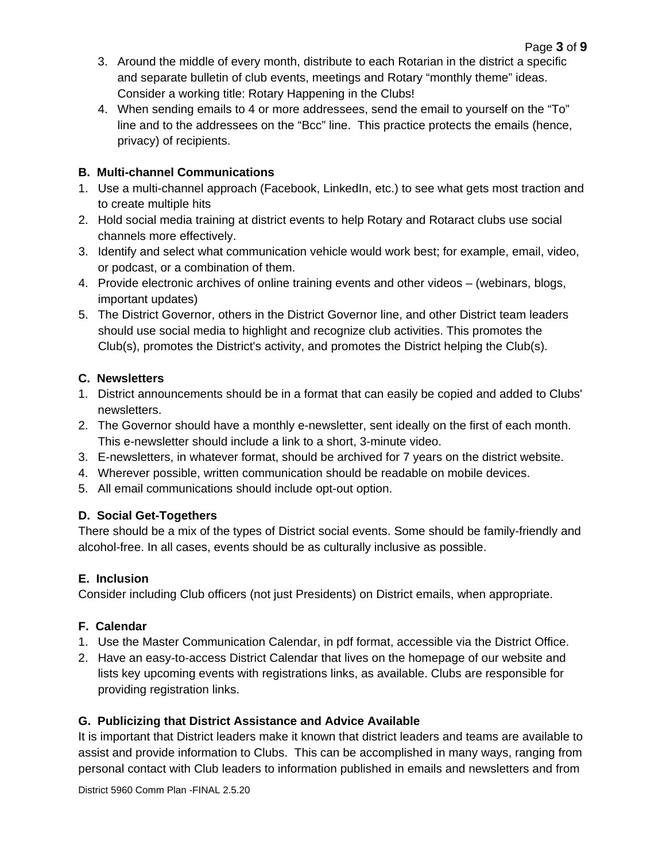Page **3** of **9**

4. When sending emails to 4 or more addressees, send the email to yourself on the "To" line and to the addressees on the "Bcc" line. This practice protects the emails (hence, privacy) of recipients.

## **B. Multi-channel Communications**

- 1. Use a multi-channel approach (Facebook, LinkedIn, etc.) to see what gets most traction and to create multiple hits
- 2. Hold social media training at district events to help Rotary and Rotaract clubs use social channels more effectively.
- 3. Identify and select what communication vehicle would work best; for example, email, video, or podcast, or a combination of them.
- 4. Provide electronic archives of online training events and other videos (webinars, blogs, important updates)
- 5. The District Governor, others in the District Governor line, and other District team leaders should use social media to highlight and recognize club activities. This promotes the Club(s), promotes the District's activity, and promotes the District helping the Club(s).

## **C. Newsletters**

- 1. District announcements should be in a format that can easily be copied and added to Clubs' newsletters.
- 2. The Governor should have a monthly e-newsletter, sent ideally on the first of each month. This e-newsletter should include a link to a short, 3-minute video.
- 3. E-newsletters, in whatever format, should be archived for 7 years on the district website.
- 4. Wherever possible, written communication should be readable on mobile devices.
- 5. All email communications should include opt-out option.

## **D. Social Get-Togethers**

There should be a mix of the types of District social events. Some should be family-friendly and alcohol-free. In all cases, events should be as culturally inclusive as possible.

## **E. Inclusion**

Consider including Club officers (not just Presidents) on District emails, when appropriate.

## **F. Calendar**

- 1. Use the Master Communication Calendar, in pdf format, accessible via the District Office.
- 2. Have an easy-to-access District Calendar that lives on the homepage of our website and lists key upcoming events with registrations links, as available. Clubs are responsible for providing registration links.

## **G. Publicizing that District Assistance and Advice Available**

It is important that District leaders make it known that district leaders and teams are available to assist and provide information to Clubs. This can be accomplished in many ways, ranging from personal contact with Club leaders to information published in emails and newsletters and from

District 5960 Comm Plan -FINAL 2.5.20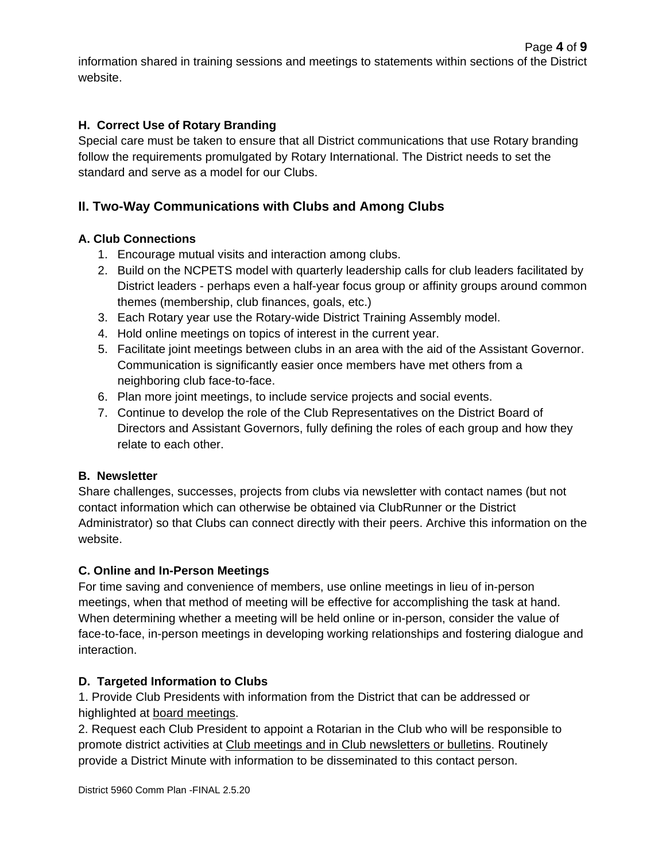## **H. Correct Use of Rotary Branding**

Special care must be taken to ensure that all District communications that use Rotary branding follow the requirements promulgated by Rotary International. The District needs to set the standard and serve as a model for our Clubs.

## **II. Two-Way Communications with Clubs and Among Clubs**

### **A. Club Connections**

- 1. Encourage mutual visits and interaction among clubs.
- 2. Build on the NCPETS model with quarterly leadership calls for club leaders facilitated by District leaders - perhaps even a half-year focus group or affinity groups around common themes (membership, club finances, goals, etc.)
- 3. Each Rotary year use the Rotary-wide District Training Assembly model.
- 4. Hold online meetings on topics of interest in the current year.
- 5. Facilitate joint meetings between clubs in an area with the aid of the Assistant Governor. Communication is significantly easier once members have met others from a neighboring club face-to-face.
- 6. Plan more joint meetings, to include service projects and social events.
- 7. Continue to develop the role of the Club Representatives on the District Board of Directors and Assistant Governors, fully defining the roles of each group and how they relate to each other.

#### **B. Newsletter**

Share challenges, successes, projects from clubs via newsletter with contact names (but not contact information which can otherwise be obtained via ClubRunner or the District Administrator) so that Clubs can connect directly with their peers. Archive this information on the website.

#### **C. Online and In-Person Meetings**

For time saving and convenience of members, use online meetings in lieu of in-person meetings, when that method of meeting will be effective for accomplishing the task at hand. When determining whether a meeting will be held online or in-person, consider the value of face-to-face, in-person meetings in developing working relationships and fostering dialogue and interaction.

#### **D. Targeted Information to Clubs**

1. Provide Club Presidents with information from the District that can be addressed or highlighted at board meetings.

2. Request each Club President to appoint a Rotarian in the Club who will be responsible to promote district activities at Club meetings and in Club newsletters or bulletins. Routinely provide a District Minute with information to be disseminated to this contact person.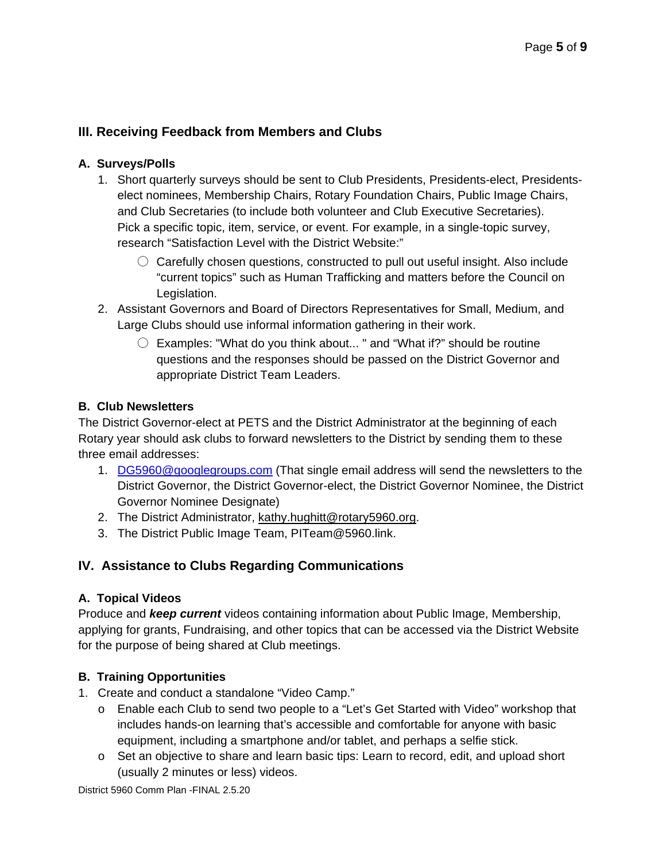## **III. Receiving Feedback from Members and Clubs**

#### **A. Surveys/Polls**

- 1. Short quarterly surveys should be sent to Club Presidents, Presidents-elect, Presidentselect nominees, Membership Chairs, Rotary Foundation Chairs, Public Image Chairs, and Club Secretaries (to include both volunteer and Club Executive Secretaries). Pick a specific topic, item, service, or event. For example, in a single-topic survey, research "Satisfaction Level with the District Website:"
	- $\circlearrowright$  Carefully chosen questions, constructed to pull out useful insight. Also include "current topics" such as Human Trafficking and matters before the Council on Legislation.
- 2. Assistant Governors and Board of Directors Representatives for Small, Medium, and Large Clubs should use informal information gathering in their work.
	- $\bigcirc$  Examples: "What do you think about..." and "What if?" should be routine questions and the responses should be passed on the District Governor and appropriate District Team Leaders.

#### **B. Club Newsletters**

The District Governor-elect at PETS and the District Administrator at the beginning of each Rotary year should ask clubs to forward newsletters to the District by sending them to these three email addresses:

- 1. [DG5960@googlegroups.com](mailto:DG5960@googlegroups.com) (That single email address will send the newsletters to the District Governor, the District Governor-elect, the District Governor Nominee, the District Governor Nominee Designate)
- 2. The District Administrator, [kathy.hughitt@rotary5960.org.](mailto:kathy.hughitt@rotary5960.org)
- 3. The District Public Image Team, PITeam@5960.link.

## **IV. Assistance to Clubs Regarding Communications**

#### **A. Topical Videos**

Produce and *keep current* videos containing information about Public Image, Membership, applying for grants, Fundraising, and other topics that can be accessed via the District Website for the purpose of being shared at Club meetings.

#### **B. Training Opportunities**

- 1. Create and conduct a standalone "Video Camp."
	- o Enable each Club to send two people to a "Let's Get Started with Video" workshop that includes hands-on learning that's accessible and comfortable for anyone with basic equipment, including a smartphone and/or tablet, and perhaps a selfie stick.
	- o Set an objective to share and learn basic tips: Learn to record, edit, and upload short (usually 2 minutes or less) videos.

District 5960 Comm Plan -FINAL 2.5.20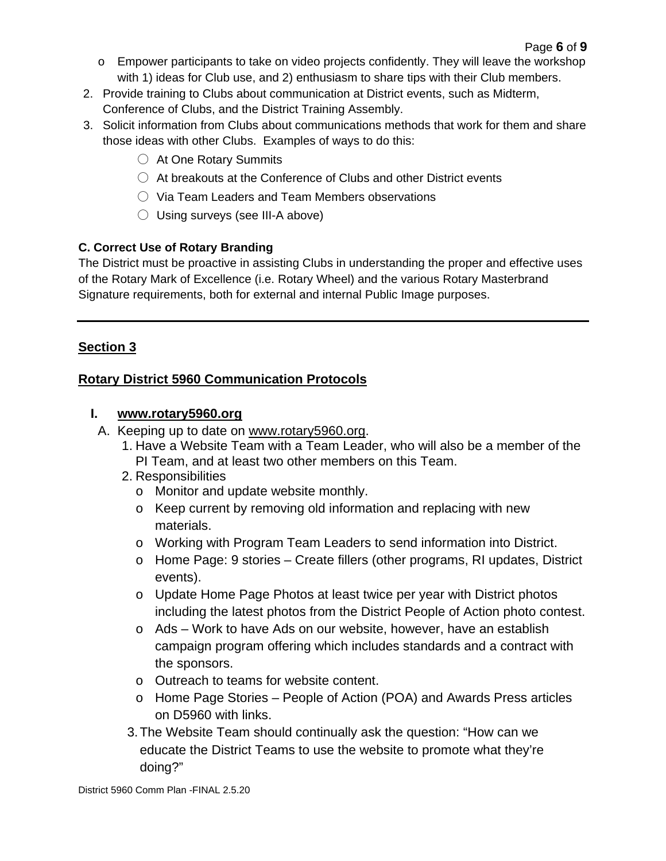- $\circ$  Empower participants to take on video projects confidently. They will leave the workshop with 1) ideas for Club use, and 2) enthusiasm to share tips with their Club members.
- 2. Provide training to Clubs about communication at District events, such as Midterm, Conference of Clubs, and the District Training Assembly.
- 3. Solicit information from Clubs about communications methods that work for them and share those ideas with other Clubs. Examples of ways to do this:
	- At One Rotary Summits
	- $\bigcirc$  At breakouts at the Conference of Clubs and other District events
	- Via Team Leaders and Team Members observations
	- $\circlearrowright$  Using surveys (see III-A above)

### **C. Correct Use of Rotary Branding**

The District must be proactive in assisting Clubs in understanding the proper and effective uses of the Rotary Mark of Excellence (i.e. Rotary Wheel) and the various Rotary Masterbrand Signature requirements, both for external and internal Public Image purposes.

## **Section 3**

## **Rotary District 5960 Communication Protocols**

### **I. [www.rotary5960.org](http://www.rotary5960.org/)**

- A. Keeping up to date on [www.rotary5960.org.](http://www.rotary5960.org/)
	- 1. Have a Website Team with a Team Leader, who will also be a member of the PI Team, and at least two other members on this Team.
	- 2. Responsibilities
		- o Monitor and update website monthly.
		- o Keep current by removing old information and replacing with new materials.
		- o Working with Program Team Leaders to send information into District.
		- o Home Page: 9 stories Create fillers (other programs, RI updates, District events).
		- o Update Home Page Photos at least twice per year with District photos including the latest photos from the District People of Action photo contest.
		- o Ads Work to have Ads on our website, however, have an establish campaign program offering which includes standards and a contract with the sponsors.
		- o Outreach to teams for website content.
		- o Home Page Stories People of Action (POA) and Awards Press articles on D5960 with links.
	- 3.The Website Team should continually ask the question: "How can we educate the District Teams to use the website to promote what they're doing?"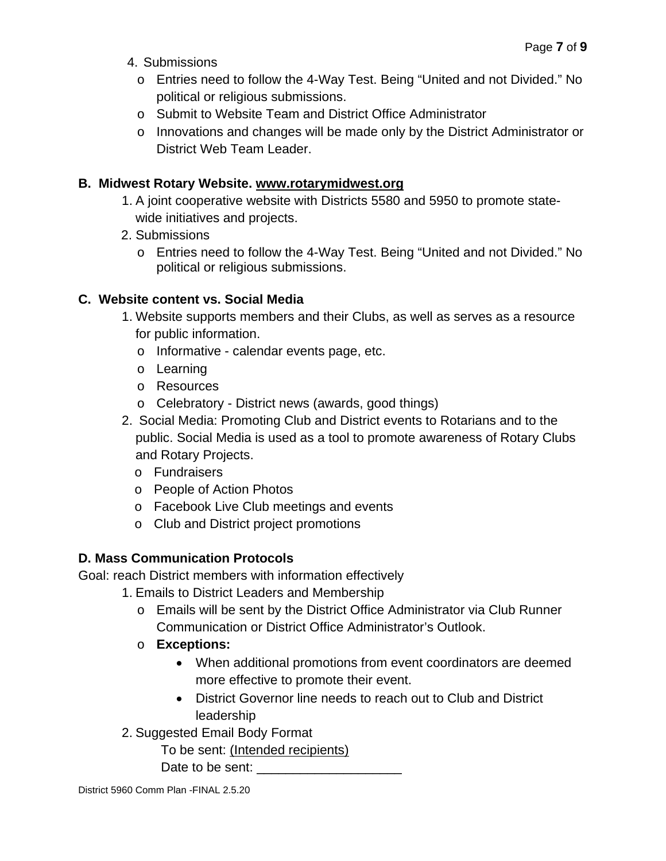- 4. Submissions
	- o Entries need to follow the 4-Way Test. Being "United and not Divided." No political or religious submissions.
	- o Submit to Website Team and District Office Administrator
	- o Innovations and changes will be made only by the District Administrator or District Web Team Leader.

## **B. Midwest Rotary Website. [www.rotarymidwest.org](http://www.rotarymidwest.org/)**

- 1. A joint cooperative website with Districts 5580 and 5950 to promote statewide initiatives and projects.
- 2. Submissions
	- o Entries need to follow the 4-Way Test. Being "United and not Divided." No political or religious submissions.

## **C. Website content vs. Social Media**

- 1. Website supports members and their Clubs, as well as serves as a resource for public information.
	- o Informative calendar events page, etc.
	- o Learning
	- o Resources
	- o Celebratory District news (awards, good things)
- 2. Social Media: Promoting Club and District events to Rotarians and to the public. Social Media is used as a tool to promote awareness of Rotary Clubs and Rotary Projects.
	- o Fundraisers
	- o People of Action Photos
	- o Facebook Live Club meetings and events
	- o Club and District project promotions

## **D. Mass Communication Protocols**

Goal: reach District members with information effectively

- 1. Emails to District Leaders and Membership
	- o Emails will be sent by the District Office Administrator via Club Runner Communication or District Office Administrator's Outlook.
	- o **Exceptions:**
		- When additional promotions from event coordinators are deemed more effective to promote their event.
		- District Governor line needs to reach out to Club and District leadership
- 2. Suggested Email Body Format

To be sent: (Intended recipients)

Date to be sent: